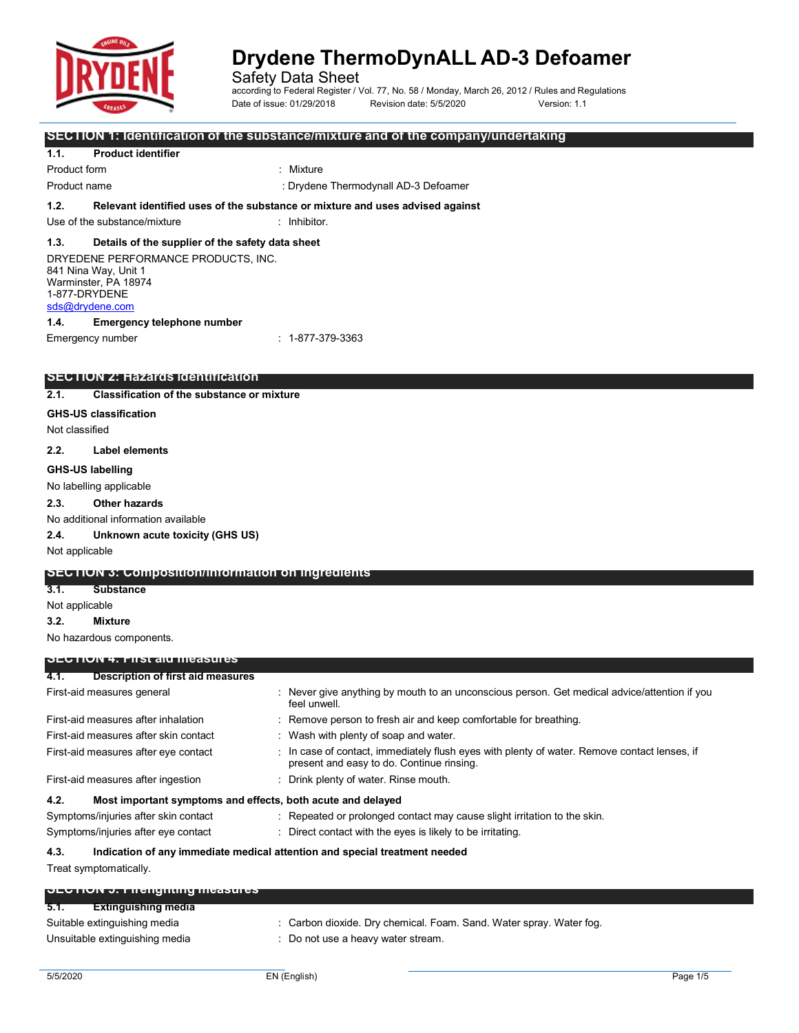

according to Federal Register / Vol. 77, No. 58 / Monday, March 26, 2012 / Rules and Regulations Date of issue: 01/29/2018 Revision date: 5/5/2020 Version: 1.1

**SECTION 1: Identification of the substance/mixture and of the company/undertaking**

#### **1.1. Product identifier**

Product form **: Mixture** 

Product name **in the contract of the Contract of Contract 1** or Drydene Thermodynall AD-3 Defoamer

#### **1.2. Relevant identified uses of the substance or mixture and uses advised against**

Use of the substance/mixture : Inhibitor.

#### **1.3. Details of the supplier of the safety data sheet**

DRYEDENE PERFORMANCE PRODUCTS, INC. 841 Nina Way, Unit 1 Warminster, PA 18974 1-877-DRYDENE [sds@drydene.com](mailto:sds@drydene.com)

### **1.4. Emergency telephone number**

Emergency number : 1-877-379-3363

### **SECTION 2: Hazards identification**

**2.1. Classification of the substance or mixture**

#### **GHS-US classification**

Not classified

#### **2.2. Label elements**

**GHS-US labelling**

#### No labelling applicable

**2.3. Other hazards**

No additional information available

**2.4. Unknown acute toxicity (GHS US)**

Not applicable

#### **SECTION 3: Composition/information on ingredients**

**3.1. Substance**

Not applicable

**3.2. Mixture**

No hazardous components.

#### **SECTION 4: First aid measures**

| 4.1.                                | Description of first aid measures                                          |  |                                                                                                                                         |
|-------------------------------------|----------------------------------------------------------------------------|--|-----------------------------------------------------------------------------------------------------------------------------------------|
| First-aid measures general          |                                                                            |  | : Never give anything by mouth to an unconscious person. Get medical advice/attention if you<br>feel unwell.                            |
| First-aid measures after inhalation |                                                                            |  | : Remove person to fresh air and keep comfortable for breathing.                                                                        |
|                                     | First-aid measures after skin contact                                      |  | : Wash with plenty of soap and water.                                                                                                   |
|                                     | First-aid measures after eye contact                                       |  | In case of contact, immediately flush eyes with plenty of water. Remove contact lenses, if<br>present and easy to do. Continue rinsing. |
|                                     | First-aid measures after ingestion                                         |  | : Drink plenty of water. Rinse mouth.                                                                                                   |
| 4.2.                                | Most important symptoms and effects, both acute and delayed                |  |                                                                                                                                         |
|                                     | Symptoms/injuries after skin contact                                       |  | : Repeated or prolonged contact may cause slight irritation to the skin.                                                                |
|                                     | Symptoms/injuries after eye contact                                        |  | : Direct contact with the eyes is likely to be irritating.                                                                              |
| 4.3.                                | Indication of any immediate medical attention and special treatment needed |  |                                                                                                                                         |
| Treat symptomatically.              |                                                                            |  |                                                                                                                                         |
|                                     | <b>OLUTION 3. FIIEIIYIIIIIIY IIIEASULES</b>                                |  |                                                                                                                                         |
| 5.1.                                | <b>Extinguishing media</b>                                                 |  |                                                                                                                                         |
|                                     | Suitable extinguishing media                                               |  | : Carbon dioxide. Dry chemical. Foam. Sand. Water spray. Water fog.                                                                     |

Unsuitable extinguishing media : Do not use a heavy water stream.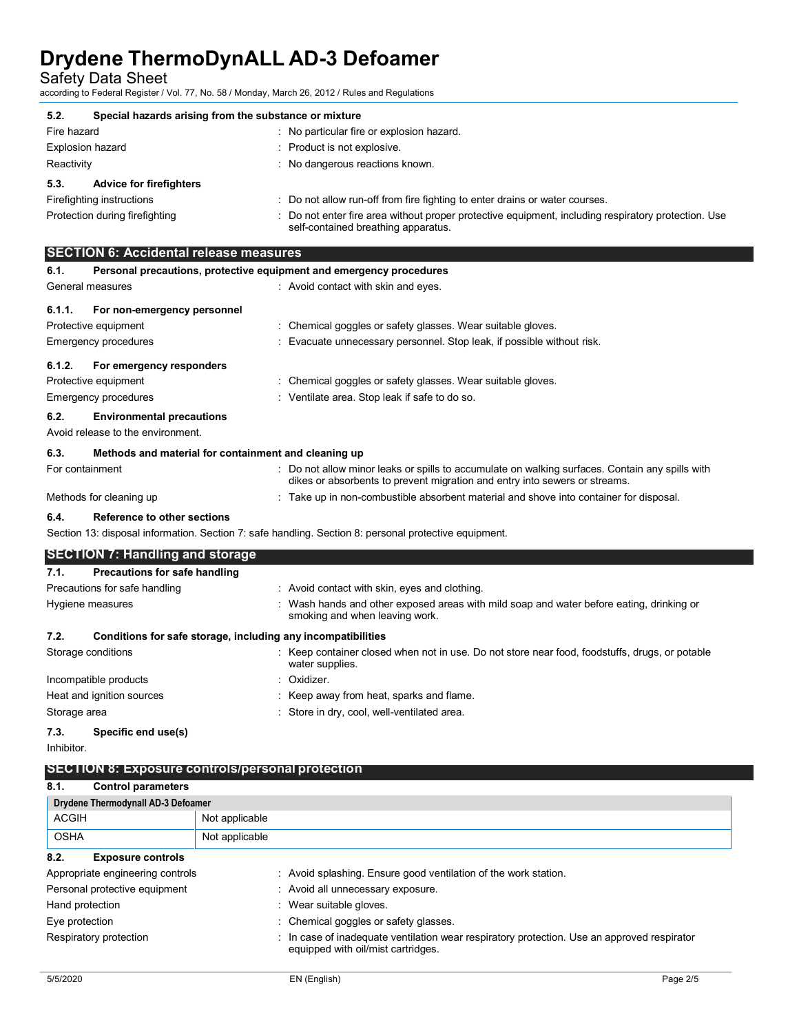Safety Data Sheet

according to Federal Register / Vol. 77, No. 58 / Monday, March 26, 2012 / Rules and Regulations

| 5.2.                                   | Special hazards arising from the substance or mixture                                                                                    |  |  |  |
|----------------------------------------|------------------------------------------------------------------------------------------------------------------------------------------|--|--|--|
| Fire hazard                            | : No particular fire or explosion hazard.                                                                                                |  |  |  |
| <b>Explosion hazard</b>                | : Product is not explosive.                                                                                                              |  |  |  |
| Reactivity                             | : No dangerous reactions known.                                                                                                          |  |  |  |
| <b>Advice for firefighters</b><br>5.3. |                                                                                                                                          |  |  |  |
| Firefighting instructions              | : Do not allow run-off from fire fighting to enter drains or water courses.                                                              |  |  |  |
| Protection during firefighting         | Do not enter fire area without proper protective equipment, including respiratory protection. Use<br>self-contained breathing apparatus. |  |  |  |

|                                                                                                       | <b>SECTION 6: Accidental release measures</b>                       |                                                                                                                                                                               |  |  |
|-------------------------------------------------------------------------------------------------------|---------------------------------------------------------------------|-------------------------------------------------------------------------------------------------------------------------------------------------------------------------------|--|--|
| 6.1.                                                                                                  | Personal precautions, protective equipment and emergency procedures |                                                                                                                                                                               |  |  |
| General measures                                                                                      |                                                                     | : Avoid contact with skin and eyes.                                                                                                                                           |  |  |
| 6.1.1.                                                                                                | For non-emergency personnel                                         |                                                                                                                                                                               |  |  |
|                                                                                                       | Protective equipment                                                | : Chemical goggles or safety glasses. Wear suitable gloves.                                                                                                                   |  |  |
|                                                                                                       | Emergency procedures                                                | : Evacuate unnecessary personnel. Stop leak, if possible without risk.                                                                                                        |  |  |
| 6.1.2.                                                                                                | For emergency responders                                            |                                                                                                                                                                               |  |  |
|                                                                                                       | Protective equipment                                                | : Chemical goggles or safety glasses. Wear suitable gloves.                                                                                                                   |  |  |
|                                                                                                       | Emergency procedures                                                | : Ventilate area. Stop leak if safe to do so.                                                                                                                                 |  |  |
| 6.2.                                                                                                  | <b>Environmental precautions</b>                                    |                                                                                                                                                                               |  |  |
|                                                                                                       | Avoid release to the environment.                                   |                                                                                                                                                                               |  |  |
| 6.3.                                                                                                  | Methods and material for containment and cleaning up                |                                                                                                                                                                               |  |  |
| For containment                                                                                       |                                                                     | : Do not allow minor leaks or spills to accumulate on walking surfaces. Contain any spills with<br>dikes or absorbents to prevent migration and entry into sewers or streams. |  |  |
|                                                                                                       | Methods for cleaning up                                             | : Take up in non-combustible absorbent material and shove into container for disposal.                                                                                        |  |  |
| 6.4.                                                                                                  | Reference to other sections                                         |                                                                                                                                                                               |  |  |
| Section 13: disposal information. Section 7: safe handling. Section 8: personal protective equipment. |                                                                     |                                                                                                                                                                               |  |  |
|                                                                                                       | <b>SECTION 7: Handling and storage</b>                              |                                                                                                                                                                               |  |  |
| 7.1.                                                                                                  | Precautions for safe handling                                       |                                                                                                                                                                               |  |  |
|                                                                                                       | Precautions for safe handling                                       | : Avoid contact with skin, eyes and clothing.                                                                                                                                 |  |  |
| Hygiene measures                                                                                      |                                                                     | : Wash hands and other exposed areas with mild soap and water before eating, drinking or<br>smoking and when leaving work.                                                    |  |  |

| 7.2.                      | Conditions for safe storage, including any incompatibilities |                                                                                                                   |
|---------------------------|--------------------------------------------------------------|-------------------------------------------------------------------------------------------------------------------|
| Storage conditions        |                                                              | : Keep container closed when not in use. Do not store near food, foodstuffs, drugs, or potable<br>water supplies. |
|                           | Incompatible products                                        | : Oxidizer.                                                                                                       |
| Heat and ignition sources |                                                              | : Keep away from heat, sparks and flame.                                                                          |
| Storage area              |                                                              | : Store in dry, cool, well-ventilated area.                                                                       |
| 7.3.                      | Specific end use(s)                                          |                                                                                                                   |

Inhibitor.

### **SECTION 8: Exposure controls/personal protection**

| 8.1.            | <b>Control parameters</b>          |                                                                                                                                 |  |  |
|-----------------|------------------------------------|---------------------------------------------------------------------------------------------------------------------------------|--|--|
|                 | Drydene Thermodynall AD-3 Defoamer |                                                                                                                                 |  |  |
| <b>ACGIH</b>    |                                    | Not applicable                                                                                                                  |  |  |
| <b>OSHA</b>     |                                    | Not applicable                                                                                                                  |  |  |
| 8.2.            | <b>Exposure controls</b>           |                                                                                                                                 |  |  |
|                 | Appropriate engineering controls   | : Avoid splashing. Ensure good ventilation of the work station.                                                                 |  |  |
|                 | Personal protective equipment      | : Avoid all unnecessary exposure.                                                                                               |  |  |
| Hand protection |                                    | Wear suitable gloves.                                                                                                           |  |  |
| Eye protection  |                                    | : Chemical goggles or safety glasses.                                                                                           |  |  |
|                 | Respiratory protection             | In case of inadequate ventilation wear respiratory protection. Use an approved respirator<br>equipped with oil/mist cartridges. |  |  |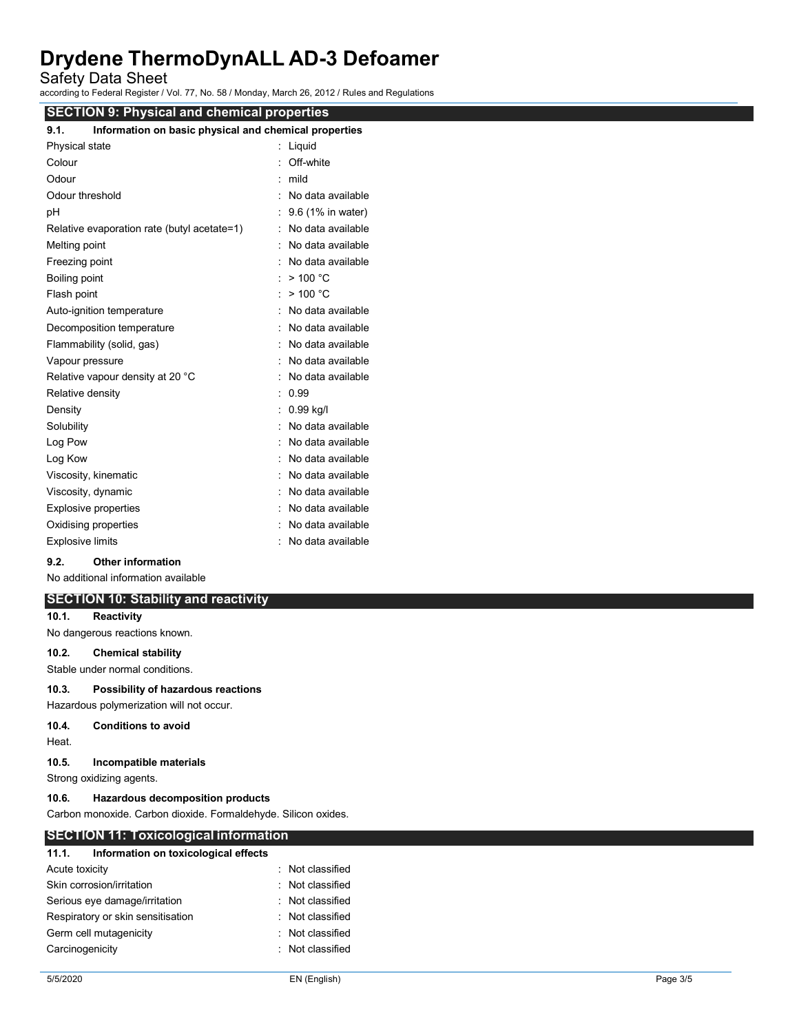Safety Data Sheet

according to Federal Register / Vol. 77, No. 58 / Monday, March 26, 2012 / Rules and Regulations

| <b>SECTION 9: Physical and chemical properties</b>            |                     |  |  |
|---------------------------------------------------------------|---------------------|--|--|
| Information on basic physical and chemical properties<br>9.1. |                     |  |  |
| Physical state                                                | : Liquid            |  |  |
| Colour                                                        | : Off-white         |  |  |
| Odour                                                         | $:$ mild            |  |  |
| Odour threshold                                               | : No data available |  |  |
| pH                                                            | : 9.6 (1% in water) |  |  |
| Relative evaporation rate (butyl acetate=1)                   | : No data available |  |  |
| Melting point                                                 | : No data available |  |  |
| Freezing point                                                | No data available   |  |  |
| Boiling point                                                 | : $> 100 °C$        |  |  |
| Flash point                                                   | : $> 100 °C$        |  |  |
| Auto-ignition temperature                                     | : No data available |  |  |
| Decomposition temperature                                     | : No data available |  |  |
| Flammability (solid, gas)                                     | No data available   |  |  |
| Vapour pressure                                               | : No data available |  |  |
| Relative vapour density at 20 °C                              | : No data available |  |  |
| Relative density                                              | : 0.99              |  |  |
| Density                                                       | $: 0.99$ kg/l       |  |  |
| Solubility                                                    | No data available   |  |  |
| Log Pow                                                       | No data available   |  |  |
| Log Kow                                                       | No data available   |  |  |
| Viscosity, kinematic                                          | : No data available |  |  |
| Viscosity, dynamic                                            | No data available   |  |  |
| Explosive properties                                          | No data available   |  |  |
| Oxidising properties                                          | No data available   |  |  |
| <b>Explosive limits</b>                                       | : No data available |  |  |

#### **9.2. Other information**

No additional information available

**SECTION 10: Stability and reactivity 10.1. Reactivity**

No dangerous reactions known.

### **10.2. Chemical stability**

Stable under normal conditions.

#### **10.3. Possibility of hazardous reactions**

#### Hazardous polymerization will not occur.

#### **10.4. Conditions to avoid**

Heat.

#### **10.5. Incompatible materials**

Strong oxidizing agents.

#### **10.6. Hazardous decomposition products**

Carbon monoxide. Carbon dioxide. Formaldehyde. Silicon oxides.

#### **SECTION 11: Toxicological information**

| 11.1.                             | Information on toxicological effects |                  |
|-----------------------------------|--------------------------------------|------------------|
| Acute toxicity                    |                                      | · Not classified |
| Skin corrosion/irritation         |                                      | · Not classified |
| Serious eye damage/irritation     |                                      | Not classified   |
| Respiratory or skin sensitisation |                                      | Not classified   |
| Germ cell mutagenicity            |                                      | · Not classified |
| Carcinogenicity                   |                                      | Not classified   |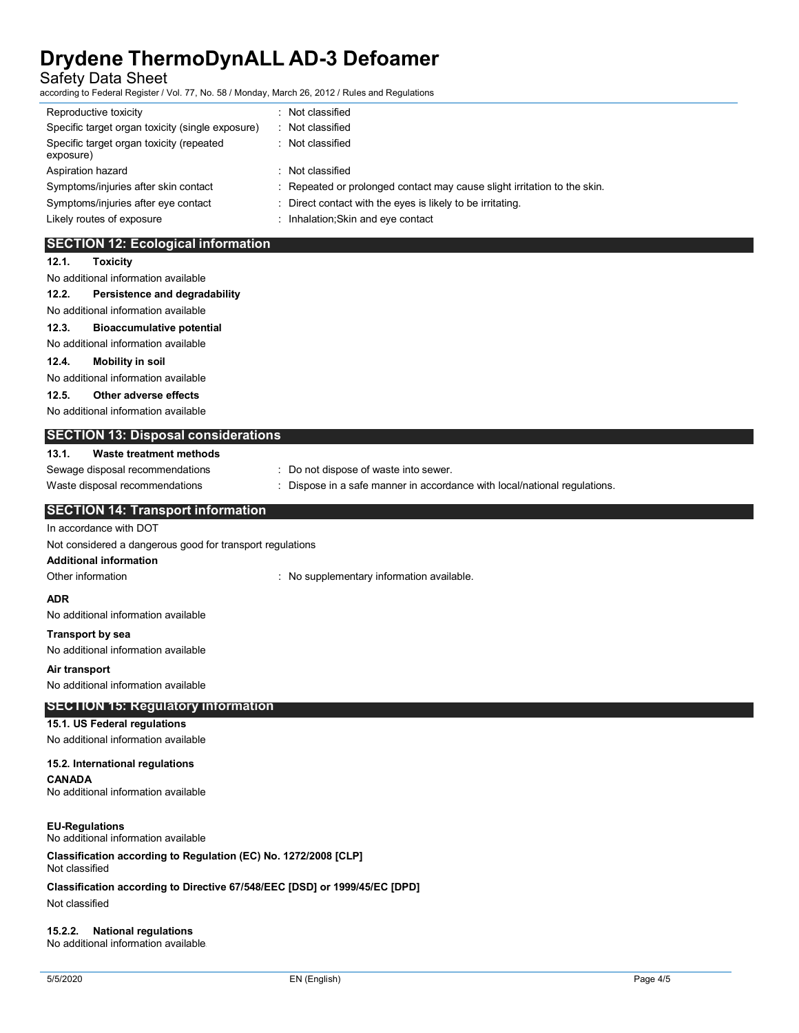Safety Data Sheet

according to Federal Register / Vol. 77, No. 58 / Monday, March 26, 2012 / Rules and Regulations

| Reproductive toxicity                                                             | : Not classified                                                        |  |  |
|-----------------------------------------------------------------------------------|-------------------------------------------------------------------------|--|--|
| Specific target organ toxicity (single exposure)                                  | : Not classified                                                        |  |  |
| Specific target organ toxicity (repeated<br>exposure)                             | : Not classified                                                        |  |  |
| Aspiration hazard                                                                 | : Not classified                                                        |  |  |
| Symptoms/injuries after skin contact                                              | Repeated or prolonged contact may cause slight irritation to the skin.  |  |  |
| Symptoms/injuries after eye contact                                               | Direct contact with the eyes is likely to be irritating.                |  |  |
| Likely routes of exposure                                                         | : Inhalation; Skin and eye contact                                      |  |  |
|                                                                                   |                                                                         |  |  |
| <b>SECTION 12: Ecological information</b>                                         |                                                                         |  |  |
| 12.1.<br><b>Toxicity</b>                                                          |                                                                         |  |  |
| No additional information available                                               |                                                                         |  |  |
| 12.2.<br>Persistence and degradability<br>No additional information available     |                                                                         |  |  |
|                                                                                   |                                                                         |  |  |
| 12.3.<br><b>Bioaccumulative potential</b><br>No additional information available  |                                                                         |  |  |
| 12.4.                                                                             |                                                                         |  |  |
| <b>Mobility in soil</b><br>No additional information available                    |                                                                         |  |  |
| Other adverse effects<br>12.5.                                                    |                                                                         |  |  |
| No additional information available                                               |                                                                         |  |  |
|                                                                                   |                                                                         |  |  |
| <b>SECTION 13: Disposal considerations</b>                                        |                                                                         |  |  |
| <b>Waste treatment methods</b><br>13.1.                                           |                                                                         |  |  |
| Sewage disposal recommendations                                                   | : Do not dispose of waste into sewer.                                   |  |  |
| Waste disposal recommendations                                                    | Dispose in a safe manner in accordance with local/national regulations. |  |  |
| <b>SECTION 14: Transport information</b>                                          |                                                                         |  |  |
| In accordance with DOT                                                            |                                                                         |  |  |
| Not considered a dangerous good for transport regulations                         |                                                                         |  |  |
| <b>Additional information</b>                                                     |                                                                         |  |  |
| Other information                                                                 | : No supplementary information available.                               |  |  |
| ADR                                                                               |                                                                         |  |  |
| No additional information available                                               |                                                                         |  |  |
| <b>Transport by sea</b>                                                           |                                                                         |  |  |
| No additional information available                                               |                                                                         |  |  |
| Air transport                                                                     |                                                                         |  |  |
| No additional information available                                               |                                                                         |  |  |
| <b>SECTION 15: Regulatory information</b>                                         |                                                                         |  |  |
| 15.1. US Federal regulations                                                      |                                                                         |  |  |
| No additional information available                                               |                                                                         |  |  |
|                                                                                   |                                                                         |  |  |
| 15.2. International regulations<br><b>CANADA</b>                                  |                                                                         |  |  |
| No additional information available                                               |                                                                         |  |  |
|                                                                                   |                                                                         |  |  |
| <b>EU-Regulations</b>                                                             |                                                                         |  |  |
| No additional information available                                               |                                                                         |  |  |
| Classification according to Regulation (EC) No. 1272/2008 [CLP]<br>Not classified |                                                                         |  |  |
| Classification according to Directive 67/548/EEC [DSD] or 1999/45/EC [DPD]        |                                                                         |  |  |
| Not classified                                                                    |                                                                         |  |  |
| <b>National regulations</b><br>15.2.2.                                            |                                                                         |  |  |

No additional information available\